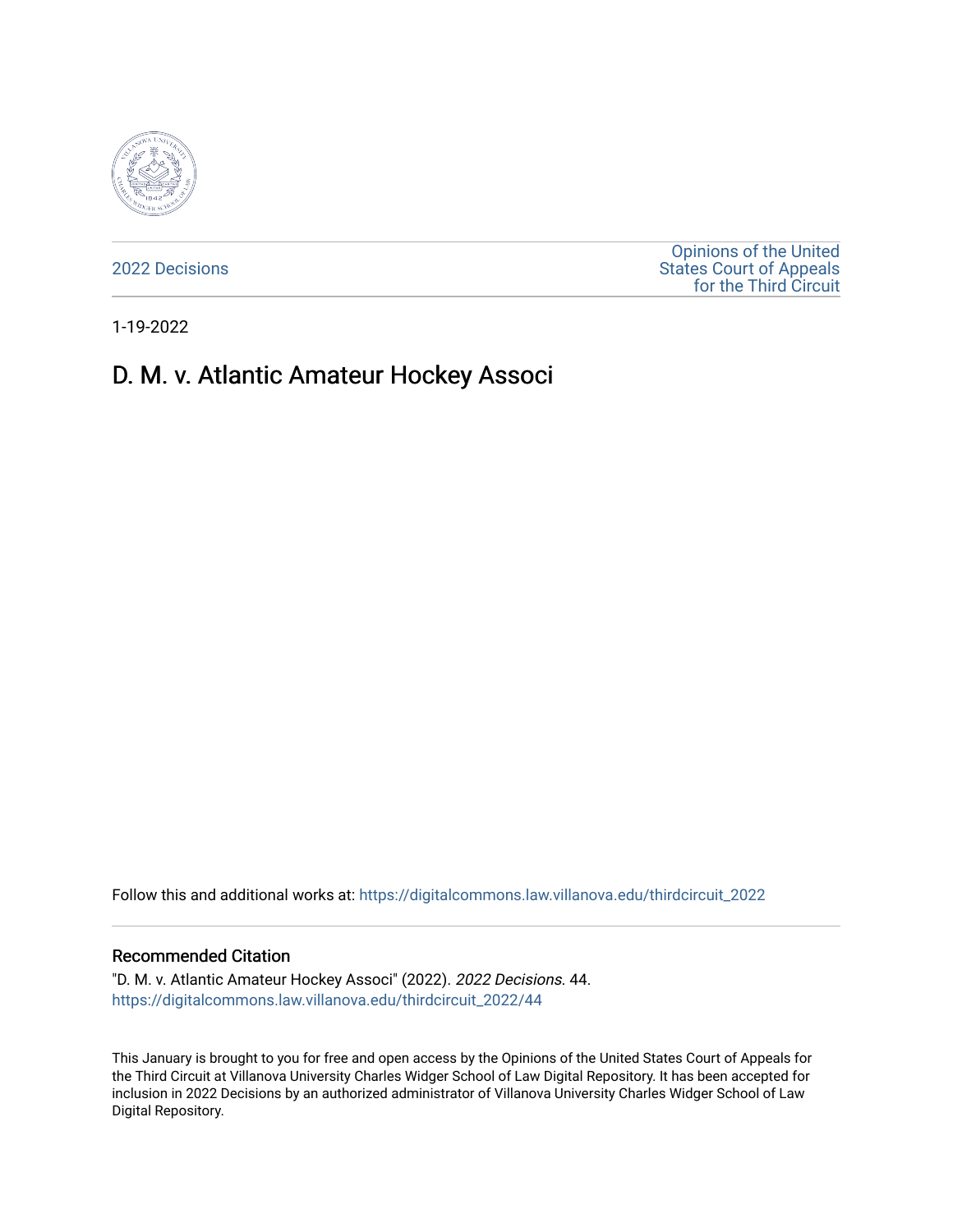

[2022 Decisions](https://digitalcommons.law.villanova.edu/thirdcircuit_2022)

[Opinions of the United](https://digitalcommons.law.villanova.edu/thirdcircuit)  [States Court of Appeals](https://digitalcommons.law.villanova.edu/thirdcircuit)  [for the Third Circuit](https://digitalcommons.law.villanova.edu/thirdcircuit) 

1-19-2022

## D. M. v. Atlantic Amateur Hockey Associ

Follow this and additional works at: [https://digitalcommons.law.villanova.edu/thirdcircuit\\_2022](https://digitalcommons.law.villanova.edu/thirdcircuit_2022?utm_source=digitalcommons.law.villanova.edu%2Fthirdcircuit_2022%2F44&utm_medium=PDF&utm_campaign=PDFCoverPages) 

## Recommended Citation

"D. M. v. Atlantic Amateur Hockey Associ" (2022). 2022 Decisions. 44. [https://digitalcommons.law.villanova.edu/thirdcircuit\\_2022/44](https://digitalcommons.law.villanova.edu/thirdcircuit_2022/44?utm_source=digitalcommons.law.villanova.edu%2Fthirdcircuit_2022%2F44&utm_medium=PDF&utm_campaign=PDFCoverPages)

This January is brought to you for free and open access by the Opinions of the United States Court of Appeals for the Third Circuit at Villanova University Charles Widger School of Law Digital Repository. It has been accepted for inclusion in 2022 Decisions by an authorized administrator of Villanova University Charles Widger School of Law Digital Repository.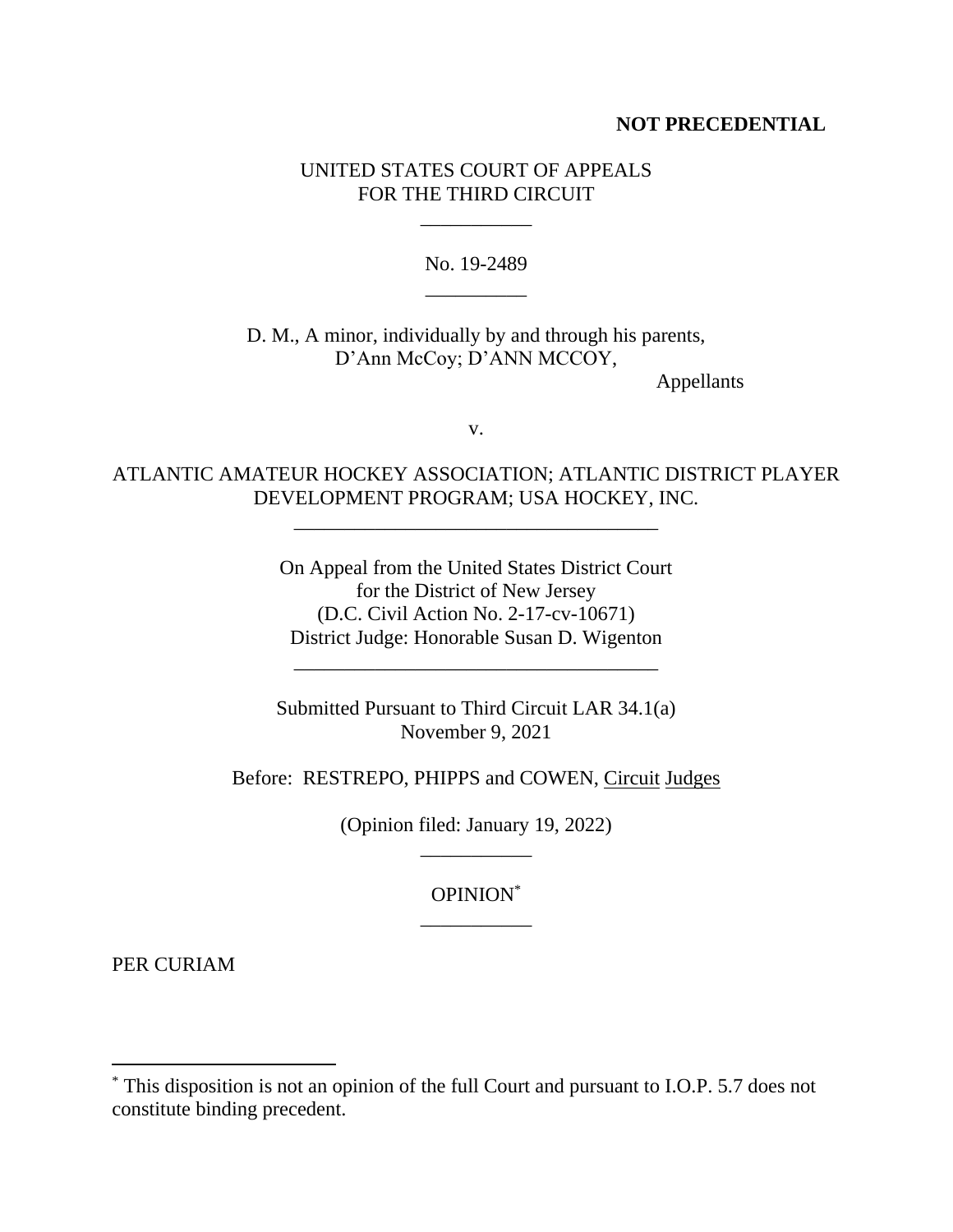## **NOT PRECEDENTIAL**

## UNITED STATES COURT OF APPEALS FOR THE THIRD CIRCUIT

\_\_\_\_\_\_\_\_\_\_\_

No. 19-2489 \_\_\_\_\_\_\_\_\_\_

D. M., A minor, individually by and through his parents, D'Ann McCoy; D'ANN MCCOY,

Appellants

v.

ATLANTIC AMATEUR HOCKEY ASSOCIATION; ATLANTIC DISTRICT PLAYER DEVELOPMENT PROGRAM; USA HOCKEY, INC.

\_\_\_\_\_\_\_\_\_\_\_\_\_\_\_\_\_\_\_\_\_\_\_\_\_\_\_\_\_\_\_\_\_\_\_\_

On Appeal from the United States District Court for the District of New Jersey (D.C. Civil Action No. 2-17-cv-10671) District Judge: Honorable Susan D. Wigenton

\_\_\_\_\_\_\_\_\_\_\_\_\_\_\_\_\_\_\_\_\_\_\_\_\_\_\_\_\_\_\_\_\_\_\_\_

Submitted Pursuant to Third Circuit LAR 34.1(a) November 9, 2021

Before: RESTREPO, PHIPPS and COWEN, Circuit Judges

(Opinion filed: January 19, 2022) \_\_\_\_\_\_\_\_\_\_\_

> OPINION\* \_\_\_\_\_\_\_\_\_\_\_

PER CURIAM

<sup>\*</sup> This disposition is not an opinion of the full Court and pursuant to I.O.P. 5.7 does not constitute binding precedent.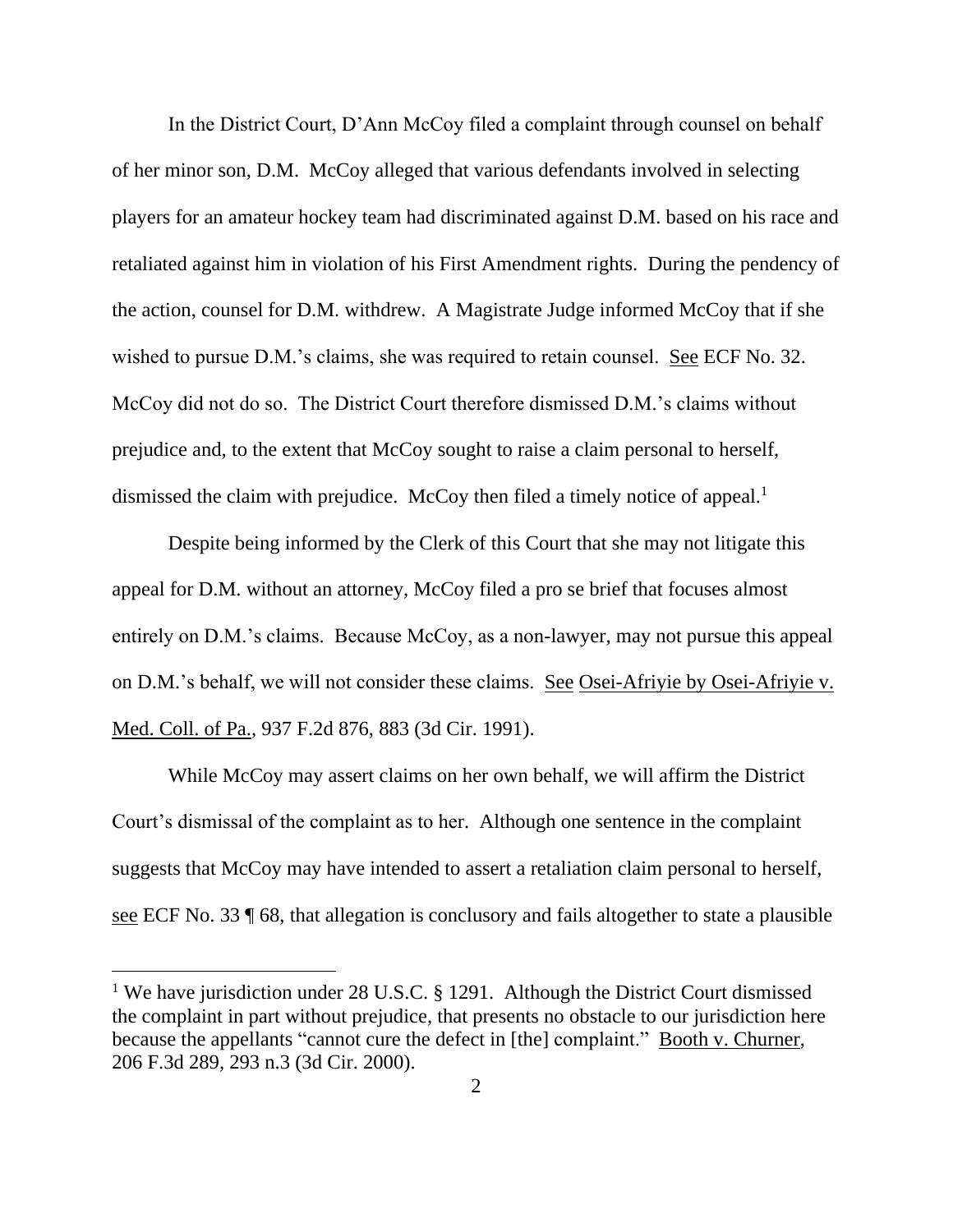In the District Court, D'Ann McCoy filed a complaint through counsel on behalf of her minor son, D.M. McCoy alleged that various defendants involved in selecting players for an amateur hockey team had discriminated against D.M. based on his race and retaliated against him in violation of his First Amendment rights. During the pendency of the action, counsel for D.M. withdrew. A Magistrate Judge informed McCoy that if she wished to pursue D.M.'s claims, she was required to retain counsel. See ECF No. 32. McCoy did not do so. The District Court therefore dismissed D.M.'s claims without prejudice and, to the extent that McCoy sought to raise a claim personal to herself, dismissed the claim with prejudice. McCoy then filed a timely notice of appeal.<sup>1</sup>

Despite being informed by the Clerk of this Court that she may not litigate this appeal for D.M. without an attorney, McCoy filed a pro se brief that focuses almost entirely on D.M.'s claims. Because McCoy, as a non-lawyer, may not pursue this appeal on D.M.'s behalf, we will not consider these claims. <u>See Osei-Afriyie by Osei-Afriyie v.</u> Med. Coll. of Pa., 937 F.2d 876, 883 (3d Cir. 1991).

While McCoy may assert claims on her own behalf, we will affirm the District Court's dismissal of the complaint as to her. Although one sentence in the complaint suggests that McCoy may have intended to assert a retaliation claim personal to herself, see ECF No. 33 ¶ 68, that allegation is conclusory and fails altogether to state a plausible

<sup>&</sup>lt;sup>1</sup> We have jurisdiction under 28 U.S.C. § 1291. Although the District Court dismissed the complaint in part without prejudice, that presents no obstacle to our jurisdiction here because the appellants "cannot cure the defect in [the] complaint." Booth v. Churner, 206 F.3d 289, 293 n.3 (3d Cir. 2000).